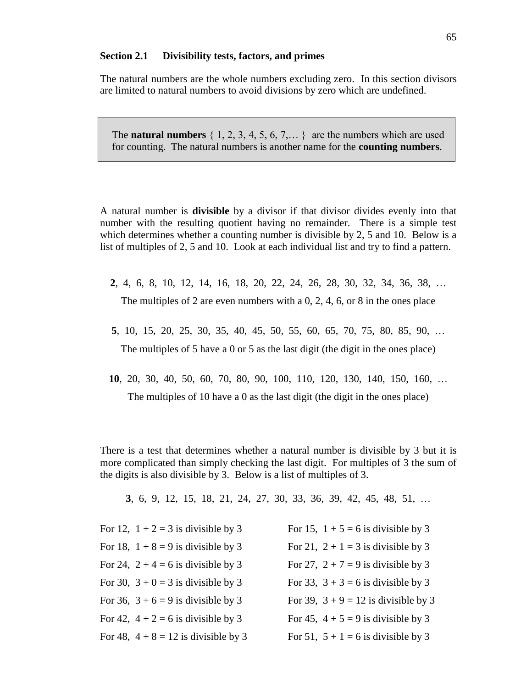## **Section 2.1 Divisibility tests, factors, and primes**

The natural numbers are the whole numbers excluding zero. In this section divisors are limited to natural numbers to avoid divisions by zero which are undefined.

The **natural numbers**  $\{1, 2, 3, 4, 5, 6, 7, \ldots\}$  are the numbers which are used for counting. The natural numbers is another name for the **counting numbers**.

A natural number is **divisible** by a divisor if that divisor divides evenly into that number with the resulting quotient having no remainder. There is a simple test which determines whether a counting number is divisible by 2, 5 and 10. Below is a list of multiples of 2, 5 and 10. Look at each individual list and try to find a pattern.

- **2**, 4, 6, 8, 10, 12, 14, 16, 18, 20, 22, 24, 26, 28, 30, 32, 34, 36, 38, … The multiples of 2 are even numbers with a 0, 2, 4, 6, or 8 in the ones place
- **5**, 10, 15, 20, 25, 30, 35, 40, 45, 50, 55, 60, 65, 70, 75, 80, 85, 90, … The multiples of 5 have a 0 or 5 as the last digit (the digit in the ones place)
- **10**, 20, 30, 40, 50, 60, 70, 80, 90, 100, 110, 120, 130, 140, 150, 160, … The multiples of 10 have a 0 as the last digit (the digit in the ones place)

There is a test that determines whether a natural number is divisible by 3 but it is more complicated than simply checking the last digit. For multiples of 3 the sum of the digits is also divisible by 3. Below is a list of multiples of 3.

**3**, 6, 9, 12, 15, 18, 21, 24, 27, 30, 33, 36, 39, 42, 45, 48, 51, …

| For 12, $1+2=3$ is divisible by 3      | For 15, $1 + 5 = 6$ is divisible by 3  |
|----------------------------------------|----------------------------------------|
| For 18, $1+8=9$ is divisible by 3      | For 21, $2 + 1 = 3$ is divisible by 3  |
| For 24, $2 + 4 = 6$ is divisible by 3  | For 27, $2 + 7 = 9$ is divisible by 3  |
| For 30, $3 + 0 = 3$ is divisible by 3  | For 33, $3 + 3 = 6$ is divisible by 3  |
| For 36, $3 + 6 = 9$ is divisible by 3  | For 39, $3 + 9 = 12$ is divisible by 3 |
| For 42, $4 + 2 = 6$ is divisible by 3  | For 45, $4 + 5 = 9$ is divisible by 3  |
| For 48, $4 + 8 = 12$ is divisible by 3 | For 51, $5 + 1 = 6$ is divisible by 3  |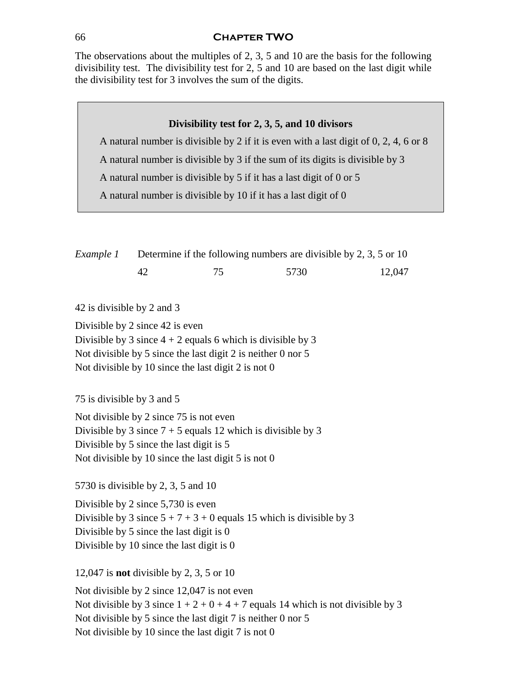## 66 **Chapter TWO**

The observations about the multiples of 2, 3, 5 and 10 are the basis for the following divisibility test. The divisibility test for 2, 5 and 10 are based on the last digit while the divisibility test for 3 involves the sum of the digits.

# **Divisibility test for 2, 3, 5, and 10 divisors**

A natural number is divisible by 2 if it is even with a last digit of 0, 2, 4, 6 or 8

A natural number is divisible by 3 if the sum of its digits is divisible by 3

A natural number is divisible by 5 if it has a last digit of 0 or 5

A natural number is divisible by 10 if it has a last digit of 0

| Example 1 |  | Determine if the following numbers are divisible by 2, 3, 5 or 10 |        |  |  |
|-----------|--|-------------------------------------------------------------------|--------|--|--|
|           |  | 5730                                                              | 12.047 |  |  |

42 is divisible by 2 and 3

Divisible by 2 since 42 is even Divisible by 3 since  $4 + 2$  equals 6 which is divisible by 3 Not divisible by 5 since the last digit 2 is neither 0 nor 5 Not divisible by 10 since the last digit 2 is not 0

75 is divisible by 3 and 5

Not divisible by 2 since 75 is not even Divisible by 3 since  $7 + 5$  equals 12 which is divisible by 3 Divisible by 5 since the last digit is 5 Not divisible by 10 since the last digit 5 is not 0

5730 is divisible by 2, 3, 5 and 10

Divisible by 2 since 5,730 is even Divisible by 3 since  $5 + 7 + 3 + 0$  equals 15 which is divisible by 3 Divisible by 5 since the last digit is 0 Divisible by 10 since the last digit is 0

12,047 is **not** divisible by 2, 3, 5 or 10

Not divisible by 2 since 12,047 is not even Not divisible by 3 since  $1 + 2 + 0 + 4 + 7$  equals 14 which is not divisible by 3 Not divisible by 5 since the last digit 7 is neither 0 nor 5 Not divisible by 10 since the last digit 7 is not 0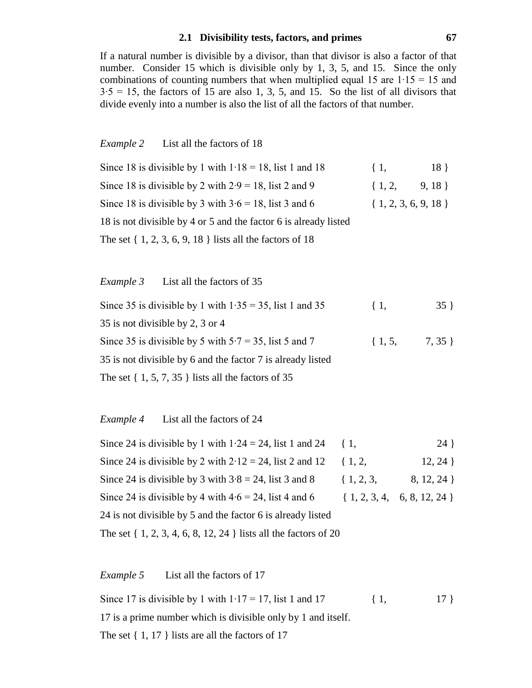## **2.1 Divisibility tests, factors, and primes 67**

If a natural number is divisible by a divisor, than that divisor is also a factor of that number. Consider 15 which is divisible only by 1, 3, 5, and 15. Since the only combinations of counting numbers that when multiplied equal 15 are 1∙15 = 15 and  $3·5 = 15$ , the factors of 15 are also 1, 3, 5, and 15. So the list of all divisors that divide evenly into a number is also the list of all the factors of that number.

#### *Example 2* List all the factors of 18

| Since 18 is divisible by 1 with $1.18 = 18$ , list 1 and 18      | $\{1,$                  | 18 <sup>3</sup> |
|------------------------------------------------------------------|-------------------------|-----------------|
| Since 18 is divisible by 2 with $2.9 = 18$ , list 2 and 9        | $\{1, 2, 9, 18\}$       |                 |
| Since 18 is divisible by 3 with $3.6 = 18$ , list 3 and 6        | $\{1, 2, 3, 6, 9, 18\}$ |                 |
| 18 is not divisible by 4 or 5 and the factor 6 is already listed |                         |                 |
| The set $\{1, 2, 3, 6, 9, 18\}$ lists all the factors of 18      |                         |                 |

# *Example 3* List all the factors of 35

| Since 35 is divisible by 1 with $1.35 = 35$ , list 1 and 35 | $\{1,$    | $35 \}$ |
|-------------------------------------------------------------|-----------|---------|
| 35 is not divisible by 2, 3 or 4                            |           |         |
| Since 35 is divisible by 5 with $5.7 = 35$ , list 5 and 7   | $\{1, 5,$ | 7, 35 } |
| 35 is not divisible by 6 and the factor 7 is already listed |           |         |
| The set $\{1, 5, 7, 35\}$ lists all the factors of 35       |           |         |

# *Example 4* List all the factors of 24

| Since 24 is divisible by 1 with $1.24 = 24$ , list 1 and 24 { 1,   |                        | $24$ }                         |
|--------------------------------------------------------------------|------------------------|--------------------------------|
| Since 24 is divisible by 2 with $2.12 = 24$ , list 2 and 12        | $\{1, 2,$              | 12, 24                         |
| Since 24 is divisible by 3 with $3.8 = 24$ , list 3 and 8          | $\{1, 2, 3, \ldots \}$ | 8, 12, 24                      |
| Since 24 is divisible by 4 with $4.6 = 24$ , list 4 and 6          |                        | $\{1, 2, 3, 4, 6, 8, 12, 24\}$ |
| 24 is not divisible by 5 and the factor 6 is already listed        |                        |                                |
| The set $\{1, 2, 3, 4, 6, 8, 12, 24\}$ lists all the factors of 20 |                        |                                |

# *Example 5* List all the factors of 17

Since 17 is divisible by 1 with  $1 \cdot 17 = 17$ , list 1 and 17 { 1, 17 } 17 is a prime number which is divisible only by 1 and itself. The set  $\{1, 17\}$  lists are all the factors of 17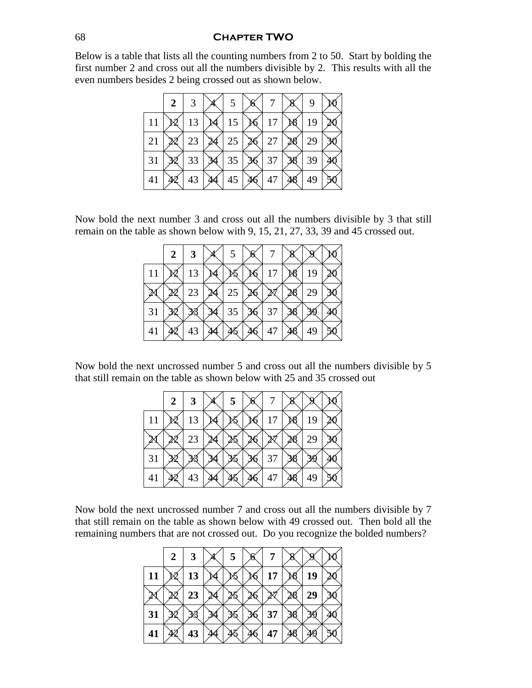#### **Chapter TWO**

Below is a table that lists all the counting numbers from 2 to 50. Start by bolding the first number 2 and cross out all the numbers divisible by 2. This results with all the even numbers besides 2 being crossed out as shown below.

|    | 2 |    | 5  | n |    | 9  |  |
|----|---|----|----|---|----|----|--|
| 11 |   | 13 | 15 | U | 17 | 19 |  |
| 21 |   | 23 | 25 |   | 27 | 29 |  |
| 31 |   | 33 | 35 |   | 37 | 39 |  |
| 41 |   | 43 | 45 |   | 47 | 49 |  |

Now bold the next number 3 and cross out all the numbers divisible by 3 that still remain on the table as shown below with 9, 15, 21, 27, 33, 39 and 45 crossed out.

|    | 2 | 3  | X | 5  | n |    |    |    |  |
|----|---|----|---|----|---|----|----|----|--|
| 11 |   | 13 |   |    |   |    | ×8 | 19 |  |
|    |   | 23 |   | 25 |   |    |    | 29 |  |
| 31 |   |    |   | 35 |   | 37 |    |    |  |
| 41 |   | 43 |   |    |   | 47 |    | 49 |  |

Now bold the next uncrossed number 5 and cross out all the numbers divisible by 5 that still remain on the table as shown below with 25 and 35 crossed out

|    | 2 | 3  | 5 | M |    |    |    |  |
|----|---|----|---|---|----|----|----|--|
| 11 |   | 13 |   | O |    | ∕§ | 19 |  |
|    |   | 23 |   |   |    |    | 29 |  |
| 31 |   |    |   | I | 37 |    |    |  |
| 41 |   | 43 |   |   | 47 |    | 49 |  |

Now bold the next uncrossed number 7 and cross out all the numbers divisible by 7 that still remain on the table as shown below with 49 crossed out. Then bold all the remaining numbers that are not crossed out. Do you recognize the bolded numbers?

|    | 2 | 3  | 5 |    |    |  |
|----|---|----|---|----|----|--|
| 11 |   | 13 |   | 17 | 19 |  |
|    |   | 23 |   |    | 29 |  |
| 31 |   |    |   | 37 |    |  |
| 41 |   | 43 |   | 47 |    |  |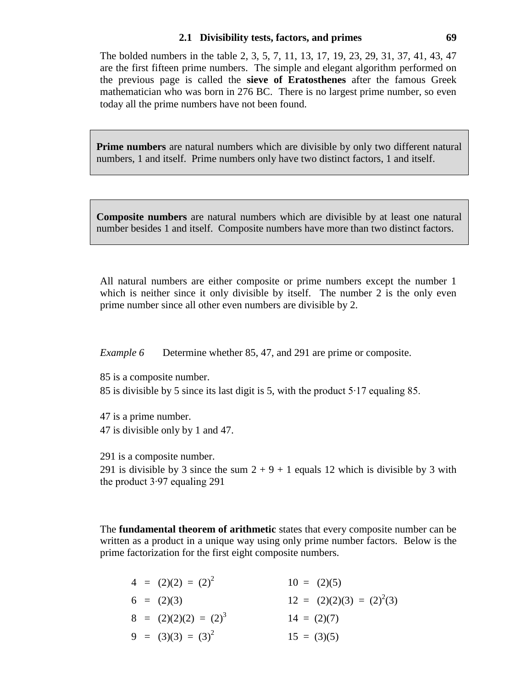#### **2.1 Divisibility tests, factors, and primes 69**

The bolded numbers in the table 2, 3, 5, 7, 11, 13, 17, 19, 23, 29, 31, 37, 41, 43, 47 are the first fifteen prime numbers. The simple and elegant algorithm performed on the previous page is called the **sieve of Eratosthenes** after the famous Greek mathematician who was born in 276 BC. There is no largest prime number, so even today all the prime numbers have not been found.

**Prime numbers** are natural numbers which are divisible by only two different natural numbers, 1 and itself. Prime numbers only have two distinct factors, 1 and itself.

**Composite numbers** are natural numbers which are divisible by at least one natural number besides 1 and itself. Composite numbers have more than two distinct factors.

All natural numbers are either composite or prime numbers except the number 1 which is neither since it only divisible by itself. The number 2 is the only even prime number since all other even numbers are divisible by 2.

*Example 6* Determine whether 85, 47, and 291 are prime or composite.

85 is a composite number.

85 is divisible by 5 since its last digit is 5, with the product 5∙17 equaling 85.

47 is a prime number. 47 is divisible only by 1 and 47.

291 is a composite number.

291 is divisible by 3 since the sum  $2 + 9 + 1$  equals 12 which is divisible by 3 with the product 3∙97 equaling 291

The **fundamental theorem of arithmetic** states that every composite number can be written as a product in a unique way using only prime number factors. Below is the prime factorization for the first eight composite numbers.

| $4 = (2)(2) = (2)^2$    | $10 = (2)(5)$                 |
|-------------------------|-------------------------------|
| $6 = (2)(3)$            | $12 = (2)(2)(3) = (2)^{2}(3)$ |
| $8 = (2)(2)(2) = (2)^3$ | $14 = (2)(7)$                 |
| $9 = (3)(3) = (3)^2$    | $15 = (3)(5)$                 |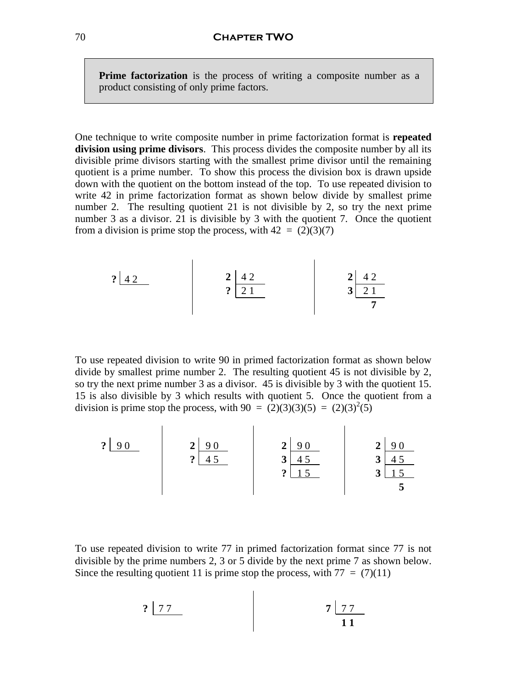**Prime factorization** is the process of writing a composite number as a product consisting of only prime factors.

One technique to write composite number in prime factorization format is **repeated division using prime divisors**. This process divides the composite number by all its divisible prime divisors starting with the smallest prime divisor until the remaining quotient is a prime number. To show this process the division box is drawn upside down with the quotient on the bottom instead of the top. To use repeated division to write 42 in prime factorization format as shown below divide by smallest prime number 2. The resulting quotient 21 is not divisible by 2, so try the next prime number 3 as a divisor. 21 is divisible by 3 with the quotient 7. Once the quotient from a division is prime stop the process, with  $42 = (2)(3)(7)$ 

$$
\begin{array}{c|c}\n? & 42 \\
2 & 21 \\
\hline\n\end{array}\n\qquad\n\begin{array}{c|c}\n2 & 42 \\
\hline\n21 & \\
\hline\n\end{array}\n\qquad\n\begin{array}{c|c}\n2 & 42 \\
\hline\n3 & 21 \\
\hline\n\end{array}
$$

 $\mathbf{L}$ 

 $\mathbf{r}$ 

To use repeated division to write 90 in primed factorization format as shown below divide by smallest prime number 2. The resulting quotient 45 is not divisible by 2, so try the next prime number 3 as a divisor. 45 is divisible by 3 with the quotient 15. 15 is also divisible by 3 which results with quotient 5. Once the quotient from a division is prime stop the process, with  $90 = (2)(3)(3)(5) = (2)(3)^{2}(5)$ 

 **?** 9 0 **2** 9 0 **?** 4 5  **2** 9 0 **3** 4 5 **?** 1 5  **2** 9 0 **3** 4 5 **3** 1 5 **5**

To use repeated division to write 77 in primed factorization format since 77 is not divisible by the prime numbers 2, 3 or 5 divide by the next prime 7 as shown below. Since the resulting quotient 11 is prime stop the process, with  $77 = (7)(11)$ 

$$
? \boxed{77} \qquad \qquad 7 \boxed{77} \qquad \qquad 711
$$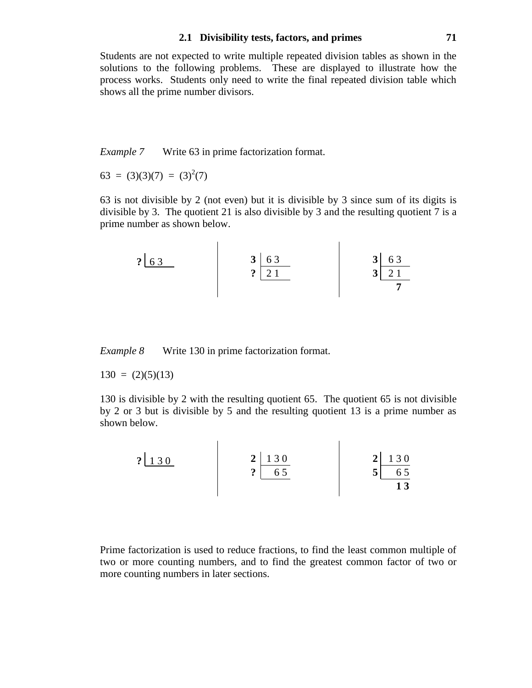#### **2.1 Divisibility tests, factors, and primes 71**

Students are not expected to write multiple repeated division tables as shown in the solutions to the following problems. These are displayed to illustrate how the process works. Students only need to write the final repeated division table which shows all the prime number divisors.

*Example 7* Write 63 in prime factorization format.

 $63 = (3)(3)(7) = (3)^{2}(7)$ 

63 is not divisible by 2 (not even) but it is divisible by 3 since sum of its digits is divisible by 3. The quotient 21 is also divisible by 3 and the resulting quotient 7 is a prime number as shown below.

 **3** 6 3 **3** 6 3  **?** 6 3 **?** 2 1 **3** 2 1 **7**  

*Example 8* Write 130 in prime factorization format.

 $130 = (2)(5)(13)$ 

130 is divisible by 2 with the resulting quotient 65. The quotient 65 is not divisible by 2 or 3 but is divisible by 5 and the resulting quotient 13 is a prime number as shown below.

| $\mathbf{P}$<br>$\Omega$ $\Omega$ | $2 \mid 130$<br>ഹ<br>65<br>$\bullet$ | 130<br>2 <sup>1</sup><br>◡ |
|-----------------------------------|--------------------------------------|----------------------------|
|                                   |                                      |                            |

Prime factorization is used to reduce fractions, to find the least common multiple of two or more counting numbers, and to find the greatest common factor of two or more counting numbers in later sections.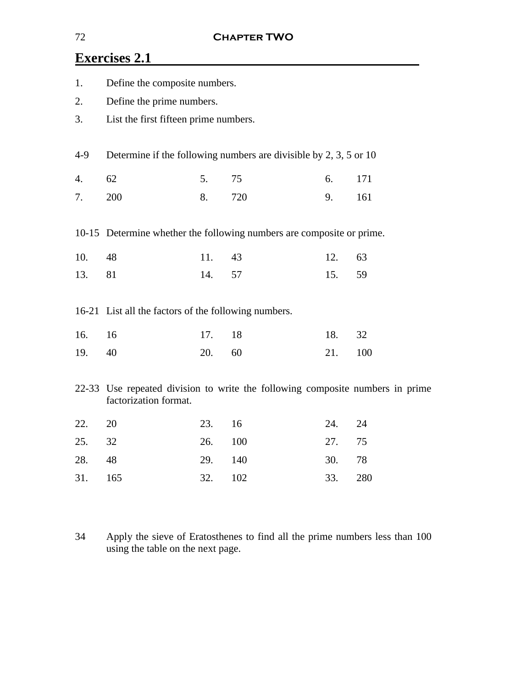# **Exercises 2.1**

| 1.  | Define the composite numbers.                        |     |                                                                               |     |     |  |  |
|-----|------------------------------------------------------|-----|-------------------------------------------------------------------------------|-----|-----|--|--|
| 2.  | Define the prime numbers.                            |     |                                                                               |     |     |  |  |
| 3.  | List the first fifteen prime numbers.                |     |                                                                               |     |     |  |  |
|     |                                                      |     |                                                                               |     |     |  |  |
| 4-9 |                                                      |     | Determine if the following numbers are divisible by $2, 3, 5$ or 10           |     |     |  |  |
| 4.  | 62                                                   | 5.  | 75                                                                            | 6.  | 171 |  |  |
| 7.  | 200                                                  | 8.  | 720                                                                           | 9.  | 161 |  |  |
|     |                                                      |     |                                                                               |     |     |  |  |
|     |                                                      |     | 10-15 Determine whether the following numbers are composite or prime.         |     |     |  |  |
| 10. | 48                                                   | 11. | 43                                                                            | 12. | 63  |  |  |
| 13. | 81                                                   | 14. | 57                                                                            | 15. | 59  |  |  |
|     |                                                      |     |                                                                               |     |     |  |  |
|     | 16-21 List all the factors of the following numbers. |     |                                                                               |     |     |  |  |
| 16. | 16                                                   | 17. | 18                                                                            | 18. | 32  |  |  |
| 19. | 40                                                   | 20. | 60                                                                            | 21. | 100 |  |  |
|     |                                                      |     |                                                                               |     |     |  |  |
|     | factorization format.                                |     | 22-33 Use repeated division to write the following composite numbers in prime |     |     |  |  |
| 22. | 20                                                   | 23. | 16                                                                            | 24. | 24  |  |  |
| 25. | 32                                                   | 26. | 100                                                                           | 27. | 75  |  |  |
| 28. | 48                                                   | 29. | 140                                                                           | 30. | 78  |  |  |
| 31. | 165                                                  | 32. | 102                                                                           | 33. | 280 |  |  |
|     |                                                      |     |                                                                               |     |     |  |  |

34 Apply the sieve of Eratosthenes to find all the prime numbers less than 100 using the table on the next page.